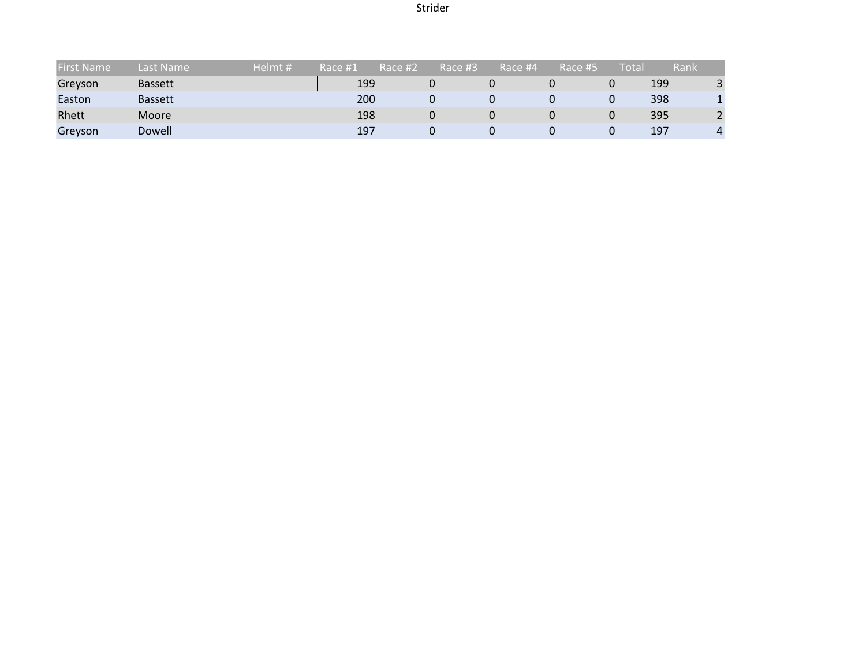# Strider

| <b>First Name</b> | Last Name      | Helmt # | Race #1 | Race #2 | Race #3 | Race #4 | Race #5 | Total | Rank |               |
|-------------------|----------------|---------|---------|---------|---------|---------|---------|-------|------|---------------|
| Greyson           | <b>Bassett</b> |         | 199     |         |         |         |         |       | 199  | ર             |
| Easton            | <b>Bassett</b> |         | 200     |         |         |         |         |       | 398  |               |
| Rhett             | <b>Moore</b>   |         | 198     |         | 0       |         |         |       | 395  | <u>ี</u><br>ے |
| Greyson           | Dowell         |         | 197     |         |         |         |         |       | 197  |               |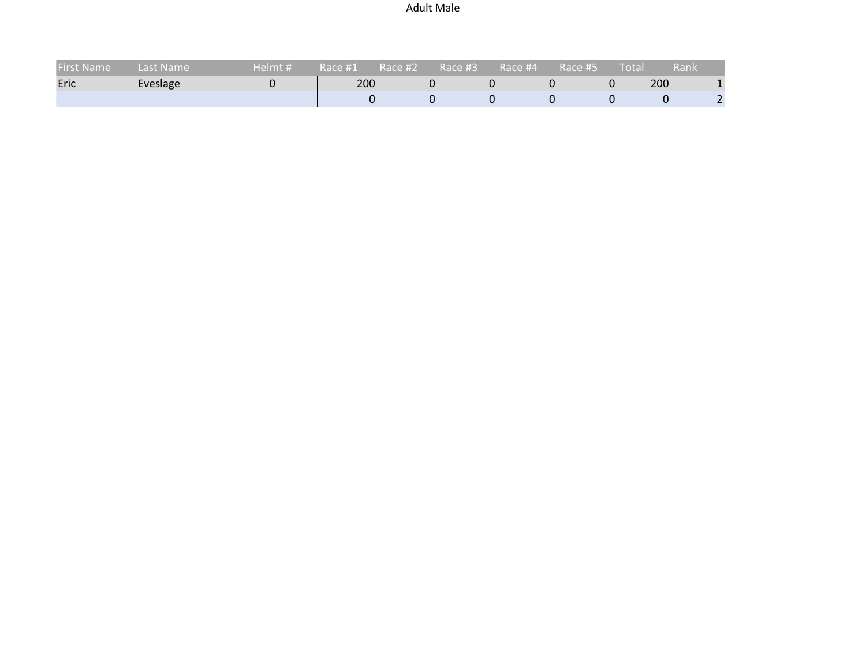# Adult Male

| <b>First Name</b> | Last Name' | '# Helmt! | Race #1 | 'Race #2 | Race #3 | $\bigwedge$ Race #4 $\bigwedge$ | Race #5. | Total | .Rank |  |
|-------------------|------------|-----------|---------|----------|---------|---------------------------------|----------|-------|-------|--|
| Eric              | Eveslage   |           | 200     |          |         |                                 |          |       | 200   |  |
|                   |            |           |         |          |         |                                 |          |       |       |  |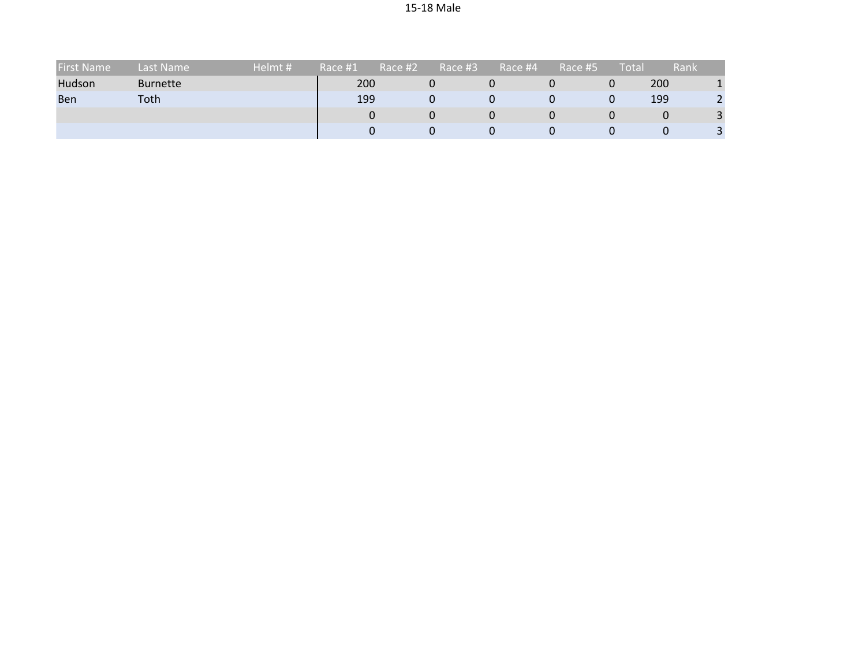| <b>First Name</b> | Last Name       | Helmt # | Race #1 | Race #2 | Race #3 | Race #4 | Race #5 | Total | <b>Rank</b> |  |
|-------------------|-----------------|---------|---------|---------|---------|---------|---------|-------|-------------|--|
| Hudson            | <b>Burnette</b> |         | 200     |         | 0       |         |         | 0     | 200         |  |
| <b>Ben</b>        | Toth            |         | 199     |         | 0       |         |         | 0     | 199         |  |
|                   |                 |         |         |         | 0       |         |         |       | 0           |  |
|                   |                 |         |         |         | 0       |         |         |       | U           |  |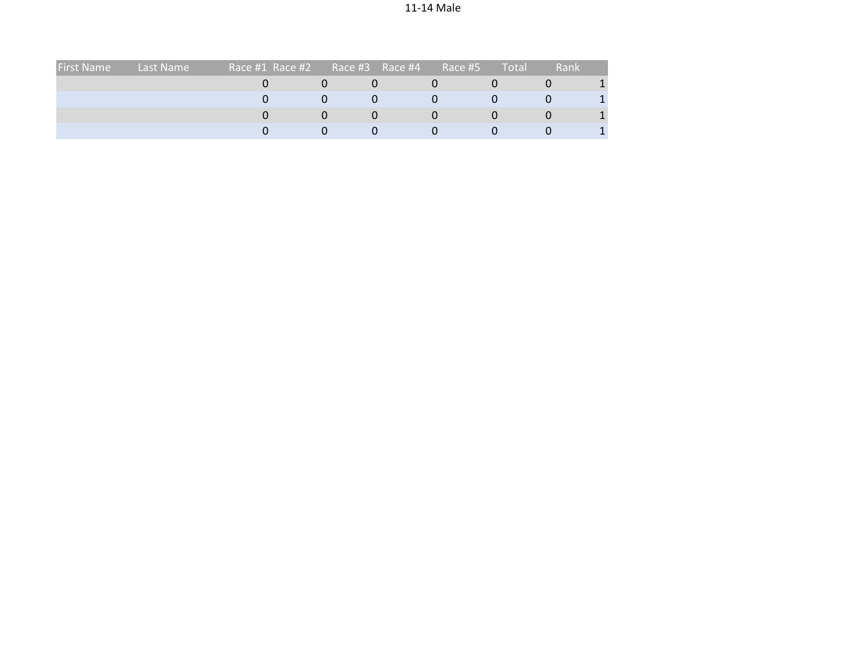| <b>First Name</b> | Last Name | Race #1 Race #2 | Race #3<br>Race #4 | Race #5 | Total | Rank |  |
|-------------------|-----------|-----------------|--------------------|---------|-------|------|--|
|                   |           |                 |                    |         |       |      |  |
|                   |           |                 |                    |         |       |      |  |
|                   |           |                 |                    |         |       |      |  |
|                   |           |                 |                    |         |       |      |  |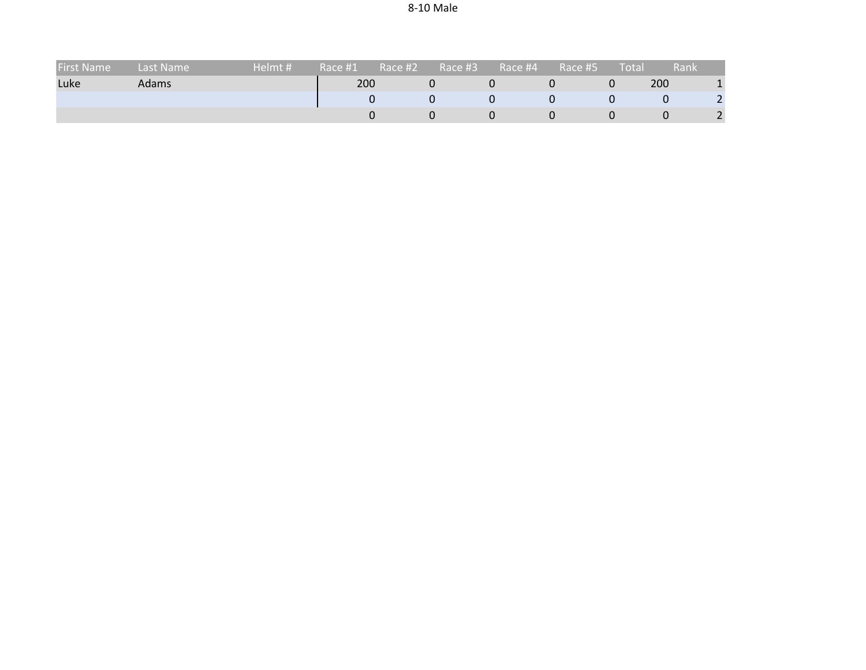| <b>First Name</b> | Last Name    | Helmt # | Race #1 | Race #2 | Race #3 | Race #4 | Race #5 | Total | Rank |  |
|-------------------|--------------|---------|---------|---------|---------|---------|---------|-------|------|--|
| Luke              | <b>Adams</b> |         | 200     |         |         |         |         |       | 200  |  |
|                   |              |         |         |         |         |         |         |       |      |  |
|                   |              |         |         |         |         |         |         |       |      |  |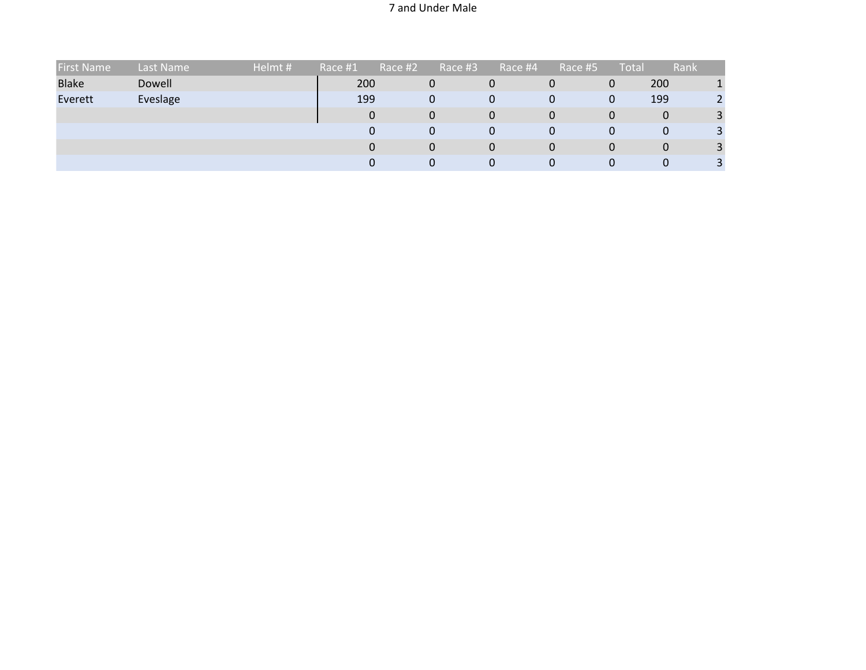### 7 and Under Male

| <b>First Name</b> | Last Name | Helmt# | Race #1 | Race #2 | Race #3 | Race #4  | Race #5 | <b>Total</b> | Rank |  |
|-------------------|-----------|--------|---------|---------|---------|----------|---------|--------------|------|--|
| <b>Blake</b>      | Dowell    |        | 200     |         | 0       | 0        | U       | 0            | 200  |  |
| Everett           | Eveslage  |        | 199     |         | 0       | 0        | 0       | 0            | 199  |  |
|                   |           |        | 0       |         | 0       | 0        | 0       | 0            | 0    |  |
|                   |           |        | 0       |         | 0       | 0        | 0       | 0            | 0    |  |
|                   |           |        | 0       |         | 0       | $\Omega$ | 0       | 0            | 0    |  |
|                   |           |        |         |         | U       | 0        | 0       | υ            | U    |  |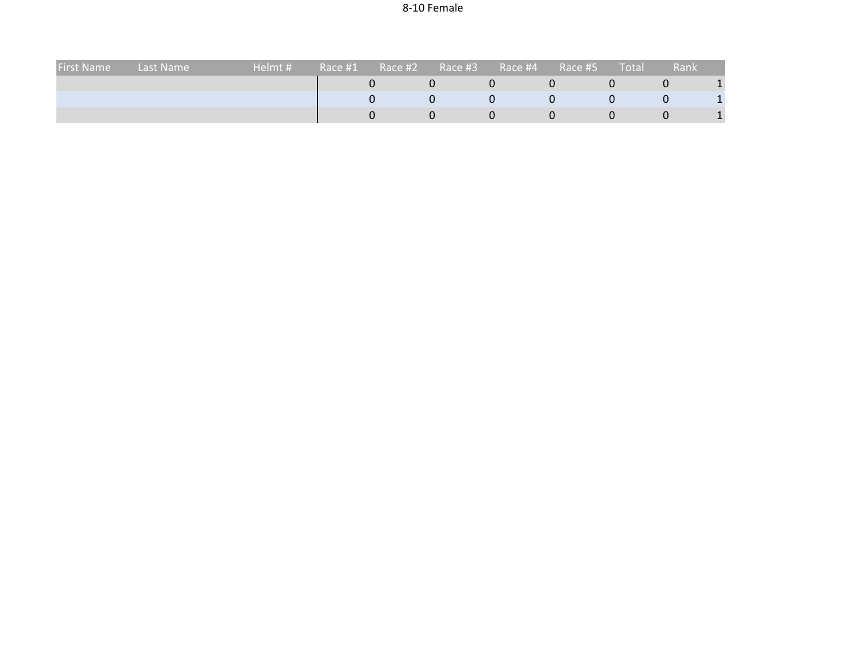| <b>First Name</b> | Last Name | Helmt # | Race #1 | Race #2 | Race #3 | Race #4 | Race #5 | <b>Total</b> | Rank |  |
|-------------------|-----------|---------|---------|---------|---------|---------|---------|--------------|------|--|
|                   |           |         |         |         |         |         |         |              |      |  |
|                   |           |         |         |         |         |         |         |              |      |  |
|                   |           |         |         |         |         |         |         |              |      |  |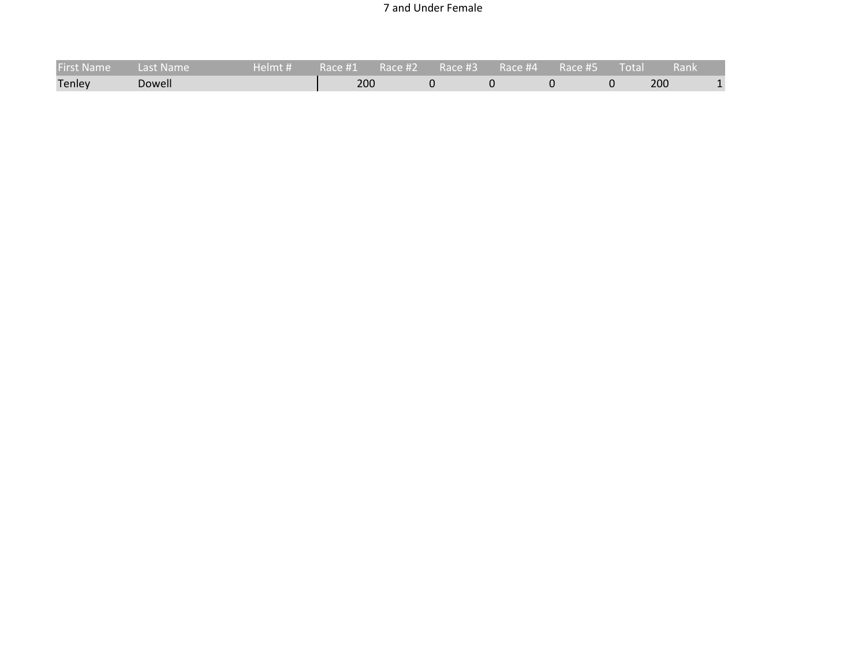### 7 and Under Female

| <b>First Name</b> | Last Name | ' Helmt # |     |  |  | $\blacksquare$ Total $\blacksquare$ | ⊾ Rank\ |  |
|-------------------|-----------|-----------|-----|--|--|-------------------------------------|---------|--|
| Tenley            | Dowell    |           | 200 |  |  |                                     | 200     |  |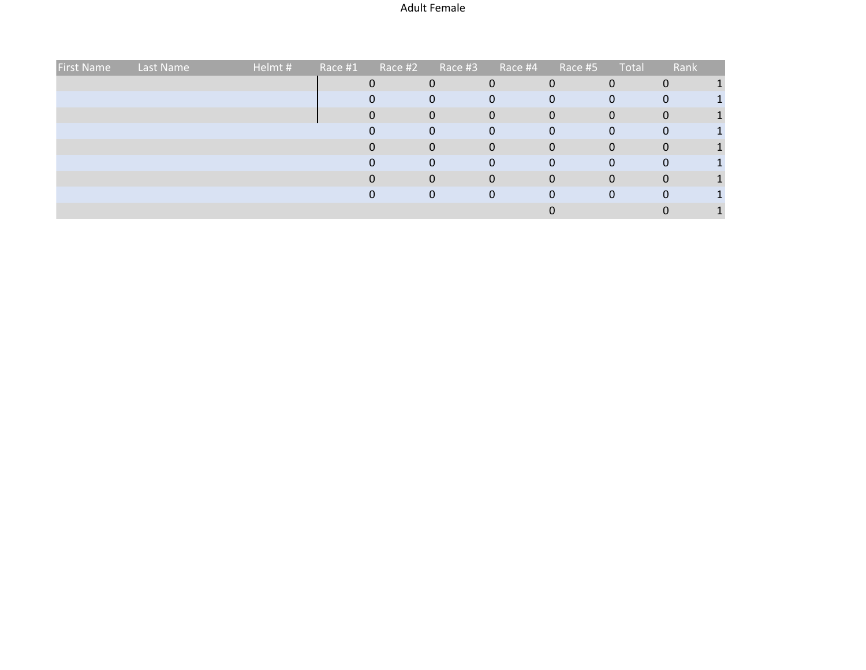### Adult Female

| <b>First Name</b> | Last Name | Helmt# | Race #1 | Race #2 | Race #3 | Race #4      | Race #5 | Total | Rank |  |
|-------------------|-----------|--------|---------|---------|---------|--------------|---------|-------|------|--|
|                   |           |        |         |         |         | 0            |         |       |      |  |
|                   |           |        |         |         | 0       | $\Omega$     | 0       | 0     | 0    |  |
|                   |           |        |         |         | 0       | $\mathbf{0}$ | 0       | 0     | 0    |  |
|                   |           |        |         |         | 0       | 0            |         | 0     | 0    |  |
|                   |           |        |         |         | 0       | 0            |         |       | 0    |  |
|                   |           |        |         |         |         | 0            | 0       |       |      |  |
|                   |           |        |         |         | 0       | $\Omega$     |         | 0     | 0    |  |
|                   |           |        |         |         | 0       | $\Omega$     |         |       | 0    |  |
|                   |           |        |         |         |         |              |         |       |      |  |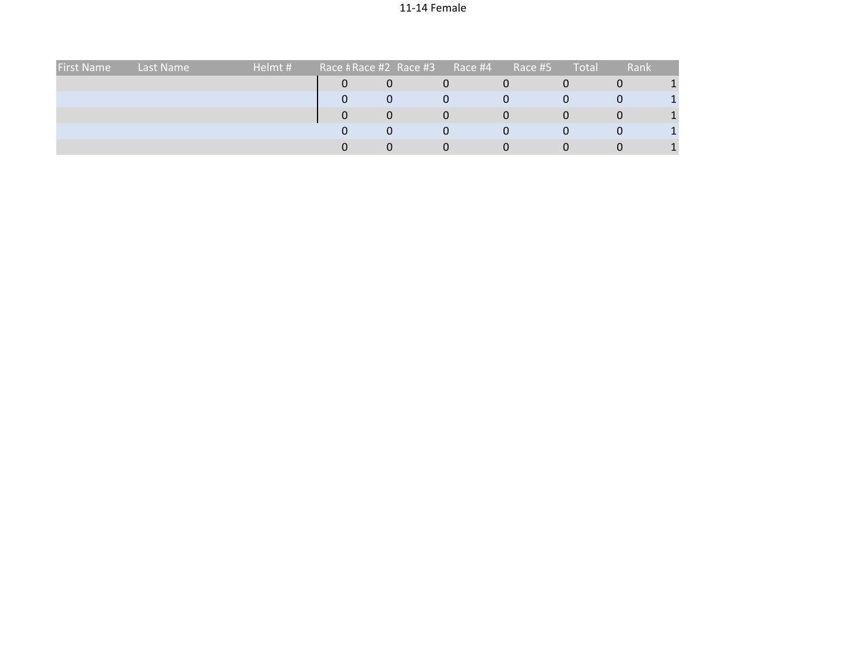## 11-14 Female

| <b>First Name</b> | Last Name | Helmt # | Race # Race #2 Race #3 |          | Race #4 | Race #5 | Total | Rank     |  |
|-------------------|-----------|---------|------------------------|----------|---------|---------|-------|----------|--|
|                   |           |         |                        |          | U       |         |       | U        |  |
|                   |           |         |                        |          | 0       |         |       | 0        |  |
|                   |           |         |                        |          | O       |         |       | U        |  |
|                   |           |         |                        | $\Omega$ | 0       |         |       | $\bf{0}$ |  |
|                   |           |         |                        | $\Omega$ | O       |         |       | U        |  |